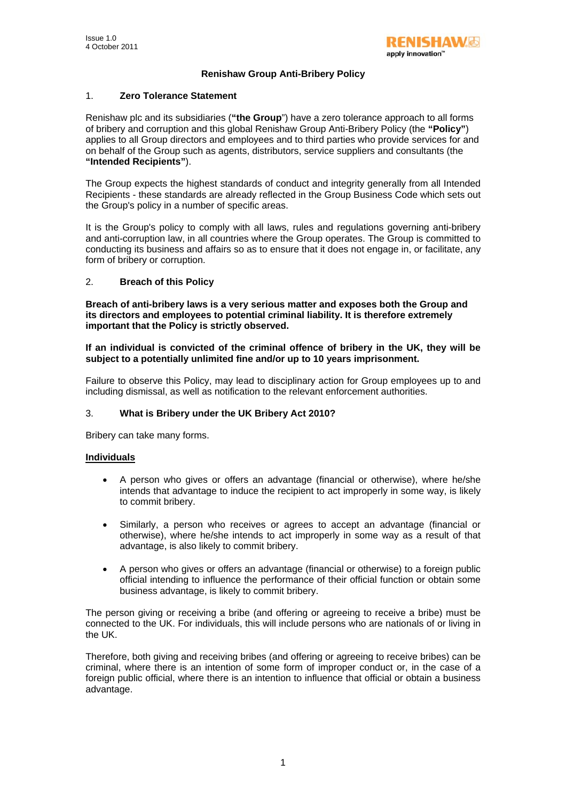# **Renishaw Group Anti-Bribery Policy**

### 1. **Zero Tolerance Statement**

Renishaw plc and its subsidiaries (**"the Group**") have a zero tolerance approach to all forms of bribery and corruption and this global Renishaw Group Anti-Bribery Policy (the **"Policy"**) applies to all Group directors and employees and to third parties who provide services for and on behalf of the Group such as agents, distributors, service suppliers and consultants (the **"Intended Recipients"**).

The Group expects the highest standards of conduct and integrity generally from all Intended Recipients - these standards are already reflected in the Group Business Code which sets out the Group's policy in a number of specific areas.

It is the Group's policy to comply with all laws, rules and regulations governing anti-bribery and anti-corruption law, in all countries where the Group operates. The Group is committed to conducting its business and affairs so as to ensure that it does not engage in, or facilitate, any form of bribery or corruption.

## 2. **Breach of this Policy**

**Breach of anti-bribery laws is a very serious matter and exposes both the Group and its directors and employees to potential criminal liability. It is therefore extremely important that the Policy is strictly observed.** 

**If an individual is convicted of the criminal offence of bribery in the UK, they will be subject to a potentially unlimited fine and/or up to 10 years imprisonment.** 

Failure to observe this Policy, may lead to disciplinary action for Group employees up to and including dismissal, as well as notification to the relevant enforcement authorities.

#### 3. **What is Bribery under the UK Bribery Act 2010?**

Bribery can take many forms.

#### **Individuals**

- A person who gives or offers an advantage (financial or otherwise), where he/she intends that advantage to induce the recipient to act improperly in some way, is likely to commit bribery.
- Similarly, a person who receives or agrees to accept an advantage (financial or otherwise), where he/she intends to act improperly in some way as a result of that advantage, is also likely to commit bribery.
- A person who gives or offers an advantage (financial or otherwise) to a foreign public official intending to influence the performance of their official function or obtain some business advantage, is likely to commit bribery.

The person giving or receiving a bribe (and offering or agreeing to receive a bribe) must be connected to the UK. For individuals, this will include persons who are nationals of or living in the UK.

Therefore, both giving and receiving bribes (and offering or agreeing to receive bribes) can be criminal, where there is an intention of some form of improper conduct or, in the case of a foreign public official, where there is an intention to influence that official or obtain a business advantage.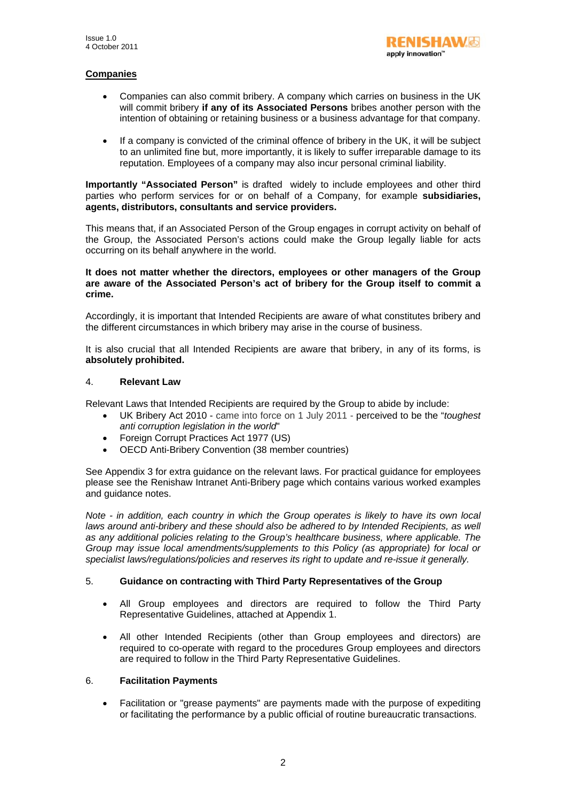# **Companies**

- Companies can also commit bribery. A company which carries on business in the UK will commit bribery **if any of its Associated Persons** bribes another person with the intention of obtaining or retaining business or a business advantage for that company.
- If a company is convicted of the criminal offence of bribery in the UK, it will be subject to an unlimited fine but, more importantly, it is likely to suffer irreparable damage to its reputation. Employees of a company may also incur personal criminal liability.

**Importantly "Associated Person"** is drafted widely to include employees and other third parties who perform services for or on behalf of a Company, for example **subsidiaries, agents, distributors, consultants and service providers.** 

This means that, if an Associated Person of the Group engages in corrupt activity on behalf of the Group, the Associated Person's actions could make the Group legally liable for acts occurring on its behalf anywhere in the world.

#### **It does not matter whether the directors, employees or other managers of the Group are aware of the Associated Person's act of bribery for the Group itself to commit a crime.**

Accordingly, it is important that Intended Recipients are aware of what constitutes bribery and the different circumstances in which bribery may arise in the course of business.

It is also crucial that all Intended Recipients are aware that bribery, in any of its forms, is **absolutely prohibited.** 

#### 4. **Relevant Law**

Relevant Laws that Intended Recipients are required by the Group to abide by include:

- UK Bribery Act 2010 came into force on 1 July 2011 perceived to be the "*toughest anti corruption legislation in the world*"
- Foreign Corrupt Practices Act 1977 (US)
- OECD Anti-Bribery Convention (38 member countries)

See Appendix 3 for extra guidance on the relevant laws. For practical guidance for employees please see the Renishaw Intranet Anti-Bribery page which contains various worked examples and guidance notes.

*Note - in addition, each country in which the Group operates is likely to have its own local laws around anti-bribery and these should also be adhered to by Intended Recipients, as well as any additional policies relating to the Group's healthcare business, where applicable. The Group may issue local amendments/supplements to this Policy (as appropriate) for local or specialist laws/regulations/policies and reserves its right to update and re-issue it generally.* 

# 5. **Guidance on contracting with Third Party Representatives of the Group**

- All Group employees and directors are required to follow the Third Party Representative Guidelines, attached at Appendix 1.
- All other Intended Recipients (other than Group employees and directors) are required to co-operate with regard to the procedures Group employees and directors are required to follow in the Third Party Representative Guidelines.

# 6. **Facilitation Payments**

• Facilitation or "grease payments" are payments made with the purpose of expediting or facilitating the performance by a public official of routine bureaucratic transactions.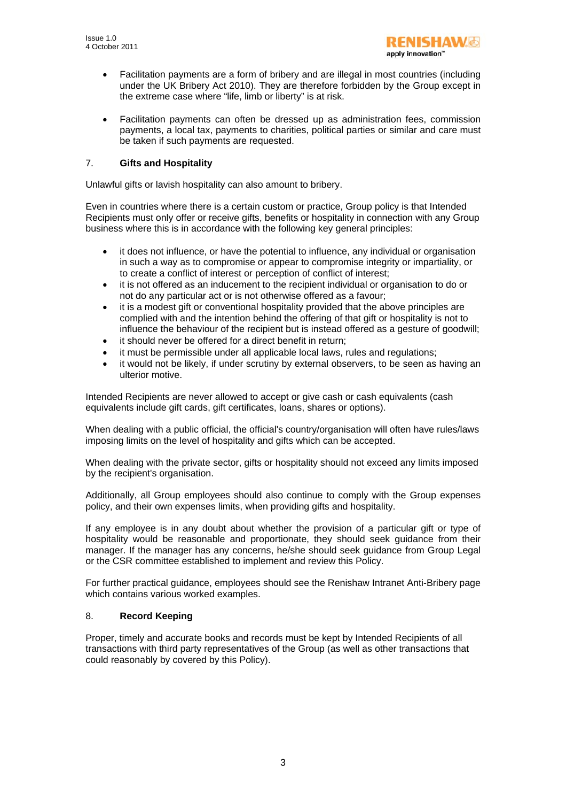- RENISHAWG apply innovation'
- Facilitation payments are a form of bribery and are illegal in most countries (including under the UK Bribery Act 2010). They are therefore forbidden by the Group except in the extreme case where "life, limb or liberty" is at risk.
- Facilitation payments can often be dressed up as administration fees, commission payments, a local tax, payments to charities, political parties or similar and care must be taken if such payments are requested.

# 7. **Gifts and Hospitality**

Unlawful gifts or lavish hospitality can also amount to bribery.

Even in countries where there is a certain custom or practice, Group policy is that Intended Recipients must only offer or receive gifts, benefits or hospitality in connection with any Group business where this is in accordance with the following key general principles:

- it does not influence, or have the potential to influence, any individual or organisation in such a way as to compromise or appear to compromise integrity or impartiality, or to create a conflict of interest or perception of conflict of interest;
- it is not offered as an inducement to the recipient individual or organisation to do or not do any particular act or is not otherwise offered as a favour;
- it is a modest gift or conventional hospitality provided that the above principles are complied with and the intention behind the offering of that gift or hospitality is not to influence the behaviour of the recipient but is instead offered as a gesture of goodwill;
- it should never be offered for a direct benefit in return;
- it must be permissible under all applicable local laws, rules and regulations;
- it would not be likely, if under scrutiny by external observers, to be seen as having an ulterior motive.

Intended Recipients are never allowed to accept or give cash or cash equivalents (cash equivalents include gift cards, gift certificates, loans, shares or options).

When dealing with a public official, the official's country/organisation will often have rules/laws imposing limits on the level of hospitality and gifts which can be accepted.

When dealing with the private sector, gifts or hospitality should not exceed any limits imposed by the recipient's organisation.

Additionally, all Group employees should also continue to comply with the Group expenses policy, and their own expenses limits, when providing gifts and hospitality.

If any employee is in any doubt about whether the provision of a particular gift or type of hospitality would be reasonable and proportionate, they should seek guidance from their manager. If the manager has any concerns, he/she should seek guidance from Group Legal or the CSR committee established to implement and review this Policy.

For further practical guidance, employees should see the Renishaw Intranet Anti-Bribery page which contains various worked examples.

# 8. **Record Keeping**

Proper, timely and accurate books and records must be kept by Intended Recipients of all transactions with third party representatives of the Group (as well as other transactions that could reasonably by covered by this Policy).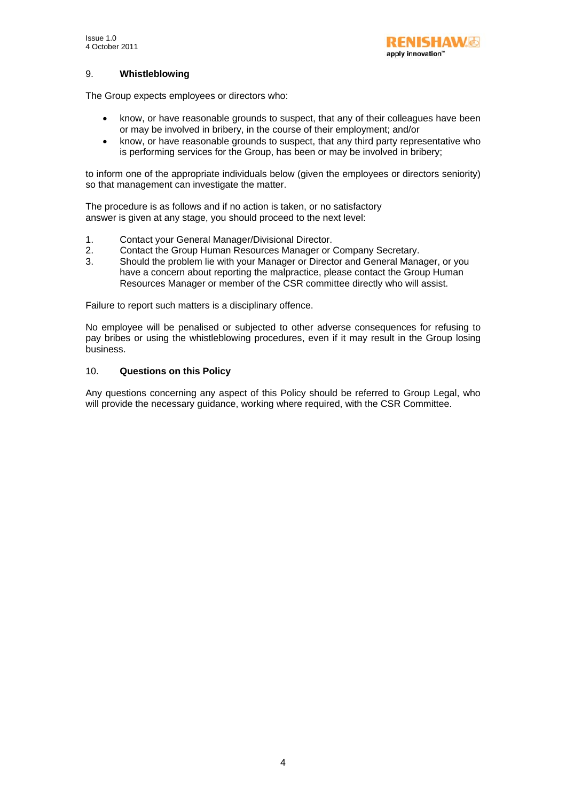# 9. **Whistleblowing**

The Group expects employees or directors who:

- know, or have reasonable grounds to suspect, that any of their colleagues have been or may be involved in bribery, in the course of their employment; and/or
- know, or have reasonable grounds to suspect, that any third party representative who is performing services for the Group, has been or may be involved in bribery;

to inform one of the appropriate individuals below (given the employees or directors seniority) so that management can investigate the matter.

The procedure is as follows and if no action is taken, or no satisfactory answer is given at any stage, you should proceed to the next level:

- 1. Contact your General Manager/Divisional Director.
- 2. Contact the Group Human Resources Manager or Company Secretary.<br>3. Should the problem lie with your Manager or Director and General Mana
- 3. Should the problem lie with your Manager or Director and General Manager, or you have a concern about reporting the malpractice, please contact the Group Human Resources Manager or member of the CSR committee directly who will assist.

Failure to report such matters is a disciplinary offence.

No employee will be penalised or subjected to other adverse consequences for refusing to pay bribes or using the whistleblowing procedures, even if it may result in the Group losing business.

# 10. **Questions on this Policy**

Any questions concerning any aspect of this Policy should be referred to Group Legal, who will provide the necessary guidance, working where required, with the CSR Committee.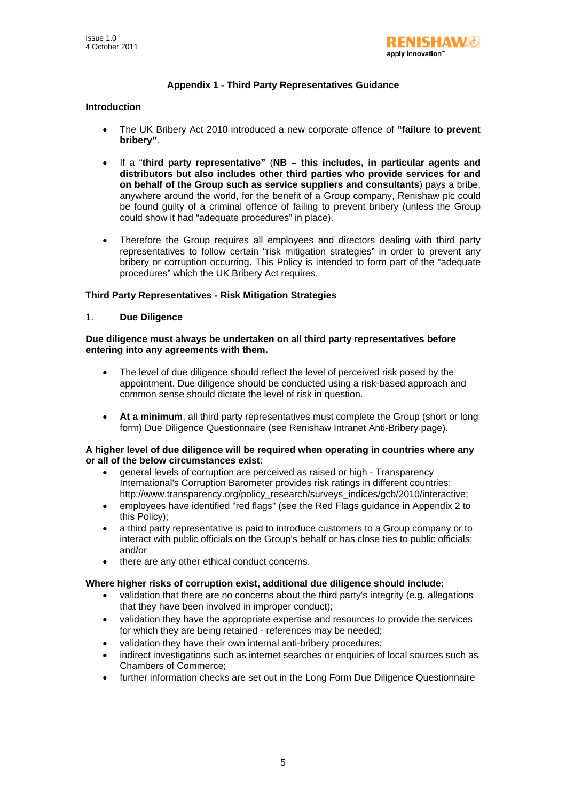

# **Appendix 1 - Third Party Representatives Guidance**

## **Introduction**

- The UK Bribery Act 2010 introduced a new corporate offence of **"failure to prevent bribery"**.
- If a "**third party representative"** (**NB this includes, in particular agents and distributors but also includes other third parties who provide services for and on behalf of the Group such as service suppliers and consultants**) pays a bribe, anywhere around the world, for the benefit of a Group company, Renishaw plc could be found guilty of a criminal offence of failing to prevent bribery (unless the Group could show it had "adequate procedures" in place).
- Therefore the Group requires all employees and directors dealing with third party representatives to follow certain "risk mitigation strategies" in order to prevent any bribery or corruption occurring. This Policy is intended to form part of the "adequate procedures" which the UK Bribery Act requires.

# **Third Party Representatives - Risk Mitigation Strategies**

1. **Due Diligence** 

### **Due diligence must always be undertaken on all third party representatives before entering into any agreements with them.**

- The level of due diligence should reflect the level of perceived risk posed by the appointment. Due diligence should be conducted using a risk-based approach and common sense should dictate the level of risk in question.
- **At a minimum**, all third party representatives must complete the Group (short or long form) Due Diligence Questionnaire (see Renishaw Intranet Anti-Bribery page).

#### **A higher level of due diligence will be required when operating in countries where any or all of the below circumstances exist**:

- general levels of corruption are perceived as raised or high Transparency International's Corruption Barometer provides risk ratings in different countries: http://www.transparency.org/policy\_research/surveys\_indices/gcb/2010/interactive;
- employees have identified "red flags" (see the Red Flags guidance in Appendix 2 to this Policy);
- a third party representative is paid to introduce customers to a Group company or to interact with public officials on the Group's behalf or has close ties to public officials; and/or
- there are any other ethical conduct concerns.

#### **Where higher risks of corruption exist, additional due diligence should include:**

- validation that there are no concerns about the third party's integrity (e.g. allegations that they have been involved in improper conduct);
- validation they have the appropriate expertise and resources to provide the services for which they are being retained - references may be needed;
- validation they have their own internal anti-bribery procedures;
- indirect investigations such as internet searches or enquiries of local sources such as Chambers of Commerce;
- further information checks are set out in the Long Form Due Diligence Questionnaire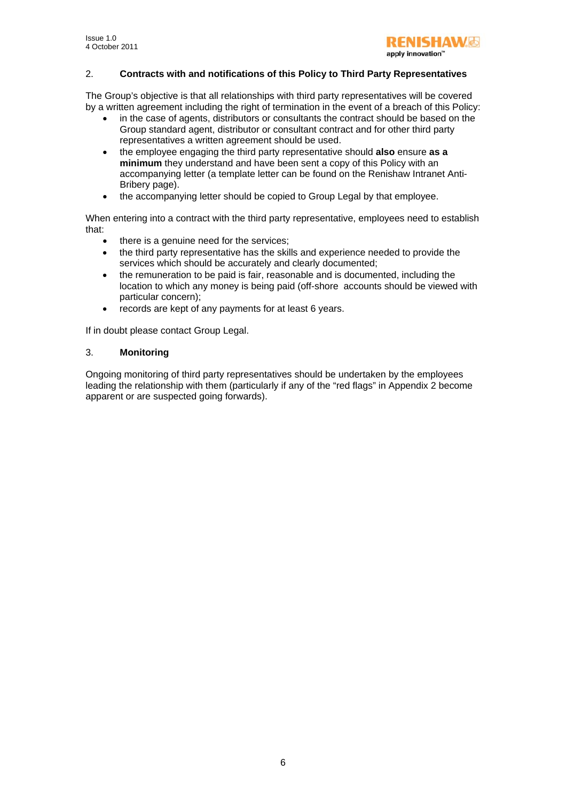## 2. **Contracts with and notifications of this Policy to Third Party Representatives**

The Group's objective is that all relationships with third party representatives will be covered by a written agreement including the right of termination in the event of a breach of this Policy:

- in the case of agents, distributors or consultants the contract should be based on the Group standard agent, distributor or consultant contract and for other third party representatives a written agreement should be used.
- the employee engaging the third party representative should **also** ensure **as a minimum** they understand and have been sent a copy of this Policy with an accompanying letter (a template letter can be found on the Renishaw Intranet Anti-Bribery page).
- the accompanying letter should be copied to Group Legal by that employee.

When entering into a contract with the third party representative, employees need to establish that:

- there is a genuine need for the services;
- the third party representative has the skills and experience needed to provide the services which should be accurately and clearly documented;
- the remuneration to be paid is fair, reasonable and is documented, including the location to which any money is being paid (off-shore accounts should be viewed with particular concern);
- records are kept of any payments for at least 6 years.

If in doubt please contact Group Legal.

# 3. **Monitoring**

Ongoing monitoring of third party representatives should be undertaken by the employees leading the relationship with them (particularly if any of the "red flags" in Appendix 2 become apparent or are suspected going forwards).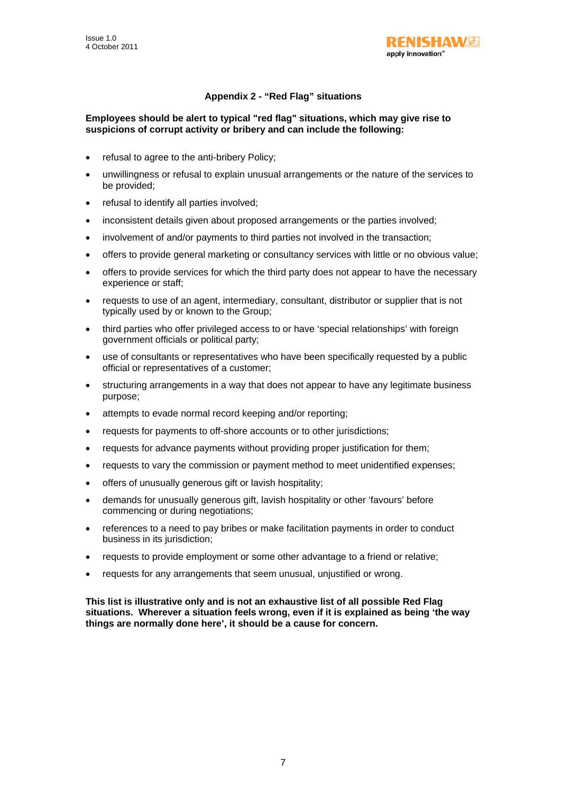

# **Appendix 2 - "Red Flag" situations**

## **Employees should be alert to typical "red flag" situations, which may give rise to suspicions of corrupt activity or bribery and can include the following:**

- refusal to agree to the anti-bribery Policy;
- unwillingness or refusal to explain unusual arrangements or the nature of the services to be provided;
- refusal to identify all parties involved;
- inconsistent details given about proposed arrangements or the parties involved;
- involvement of and/or payments to third parties not involved in the transaction;
- offers to provide general marketing or consultancy services with little or no obvious value;
- offers to provide services for which the third party does not appear to have the necessary experience or staff;
- requests to use of an agent, intermediary, consultant, distributor or supplier that is not typically used by or known to the Group;
- third parties who offer privileged access to or have 'special relationships' with foreign government officials or political party;
- use of consultants or representatives who have been specifically requested by a public official or representatives of a customer;
- structuring arrangements in a way that does not appear to have any legitimate business purpose;
- attempts to evade normal record keeping and/or reporting;
- requests for payments to off-shore accounts or to other jurisdictions;
- requests for advance payments without providing proper justification for them;
- requests to vary the commission or payment method to meet unidentified expenses;
- offers of unusually generous gift or lavish hospitality;
- demands for unusually generous gift, lavish hospitality or other 'favours' before commencing or during negotiations;
- references to a need to pay bribes or make facilitation payments in order to conduct business in its jurisdiction;
- requests to provide employment or some other advantage to a friend or relative;
- requests for any arrangements that seem unusual, unjustified or wrong.

**This list is illustrative only and is not an exhaustive list of all possible Red Flag situations. Wherever a situation feels wrong, even if it is explained as being 'the way things are normally done here', it should be a cause for concern.**